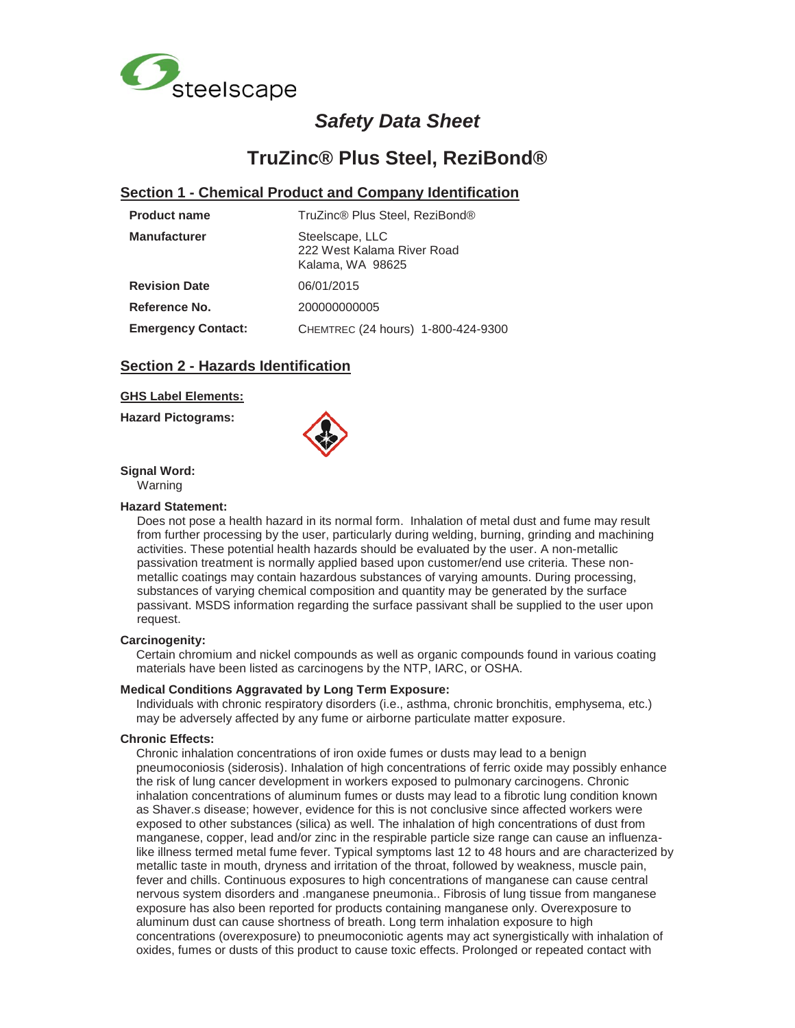

# *Safety Data Sheet*

# **TruZinc® Plus Steel, ReziBond®**

### **Section 1 - Chemical Product and Company Identification**

| <b>Product name</b>       | TruZinc® Plus Steel, ReziBond®                                    |  |  |
|---------------------------|-------------------------------------------------------------------|--|--|
| <b>Manufacturer</b>       | Steelscape, LLC<br>222 West Kalama River Road<br>Kalama, WA 98625 |  |  |
| <b>Revision Date</b>      | 06/01/2015                                                        |  |  |
| Reference No.             | 200000000005                                                      |  |  |
| <b>Emergency Contact:</b> | CHEMTREC (24 hours) 1-800-424-9300                                |  |  |

### **Section 2 - Hazards Identification**

### **GHS Label Elements:**

**Hazard Pictograms:**



**Signal Word:** 

### Warning

### **Hazard Statement:**

Does not pose a health hazard in its normal form. Inhalation of metal dust and fume may result from further processing by the user, particularly during welding, burning, grinding and machining activities. These potential health hazards should be evaluated by the user. A non-metallic passivation treatment is normally applied based upon customer/end use criteria. These nonmetallic coatings may contain hazardous substances of varying amounts. During processing, substances of varying chemical composition and quantity may be generated by the surface passivant. MSDS information regarding the surface passivant shall be supplied to the user upon request.

### **Carcinogenity:**

Certain chromium and nickel compounds as well as organic compounds found in various coating materials have been listed as carcinogens by the NTP, IARC, or OSHA.

### **Medical Conditions Aggravated by Long Term Exposure:**

Individuals with chronic respiratory disorders (i.e., asthma, chronic bronchitis, emphysema, etc.) may be adversely affected by any fume or airborne particulate matter exposure.

### **Chronic Effects:**

Chronic inhalation concentrations of iron oxide fumes or dusts may lead to a benign pneumoconiosis (siderosis). Inhalation of high concentrations of ferric oxide may possibly enhance the risk of lung cancer development in workers exposed to pulmonary carcinogens. Chronic inhalation concentrations of aluminum fumes or dusts may lead to a fibrotic lung condition known as Shaver.s disease; however, evidence for this is not conclusive since affected workers were exposed to other substances (silica) as well. The inhalation of high concentrations of dust from manganese, copper, lead and/or zinc in the respirable particle size range can cause an influenzalike illness termed metal fume fever. Typical symptoms last 12 to 48 hours and are characterized by metallic taste in mouth, dryness and irritation of the throat, followed by weakness, muscle pain, fever and chills. Continuous exposures to high concentrations of manganese can cause central nervous system disorders and .manganese pneumonia.. Fibrosis of lung tissue from manganese exposure has also been reported for products containing manganese only. Overexposure to aluminum dust can cause shortness of breath. Long term inhalation exposure to high concentrations (overexposure) to pneumoconiotic agents may act synergistically with inhalation of oxides, fumes or dusts of this product to cause toxic effects. Prolonged or repeated contact with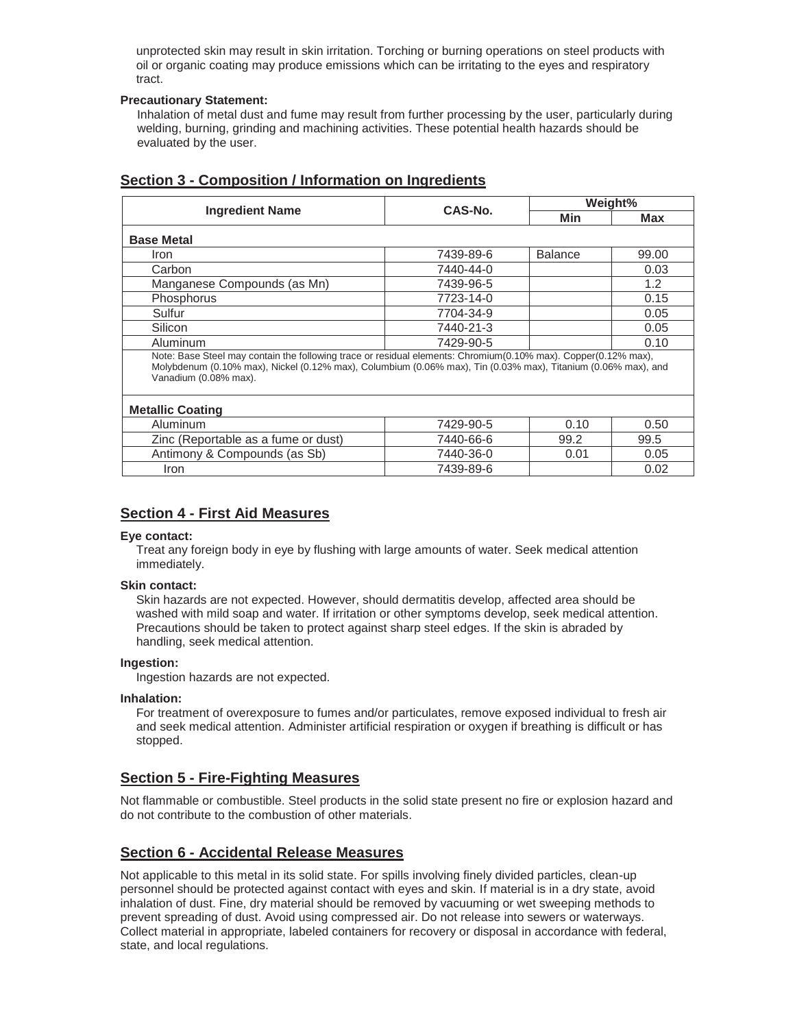unprotected skin may result in skin irritation. Torching or burning operations on steel products with oil or organic coating may produce emissions which can be irritating to the eyes and respiratory tract.

### **Precautionary Statement:**

Inhalation of metal dust and fume may result from further processing by the user, particularly during welding, burning, grinding and machining activities. These potential health hazards should be evaluated by the user.

|                                                                                                                                                                                                                                                                                     | CAS-No.   | Weight%        |       |  |  |  |
|-------------------------------------------------------------------------------------------------------------------------------------------------------------------------------------------------------------------------------------------------------------------------------------|-----------|----------------|-------|--|--|--|
| <b>Ingredient Name</b>                                                                                                                                                                                                                                                              |           | Min            | Max   |  |  |  |
| <b>Base Metal</b>                                                                                                                                                                                                                                                                   |           |                |       |  |  |  |
| Iron                                                                                                                                                                                                                                                                                | 7439-89-6 | <b>Balance</b> | 99.00 |  |  |  |
| Carbon                                                                                                                                                                                                                                                                              | 7440-44-0 |                | 0.03  |  |  |  |
| Manganese Compounds (as Mn)                                                                                                                                                                                                                                                         | 7439-96-5 |                | 1.2   |  |  |  |
| Phosphorus                                                                                                                                                                                                                                                                          | 7723-14-0 |                | 0.15  |  |  |  |
| Sulfur                                                                                                                                                                                                                                                                              | 7704-34-9 |                | 0.05  |  |  |  |
| Silicon                                                                                                                                                                                                                                                                             | 7440-21-3 |                | 0.05  |  |  |  |
| Aluminum                                                                                                                                                                                                                                                                            | 7429-90-5 |                | 0.10  |  |  |  |
| Note: Base Steel may contain the following trace or residual elements: Chromium(0.10% max). Copper(0.12% max),<br>Molybdenum (0.10% max), Nickel (0.12% max), Columbium (0.06% max), Tin (0.03% max), Titanium (0.06% max), and<br>Vanadium (0.08% max).<br><b>Metallic Coating</b> |           |                |       |  |  |  |
| Aluminum                                                                                                                                                                                                                                                                            | 7429-90-5 | 0.10           | 0.50  |  |  |  |
| Zinc (Reportable as a fume or dust)                                                                                                                                                                                                                                                 | 7440-66-6 | 99.2           | 99.5  |  |  |  |
| Antimony & Compounds (as Sb)                                                                                                                                                                                                                                                        | 7440-36-0 | 0.01           | 0.05  |  |  |  |
| <i>Iron</i>                                                                                                                                                                                                                                                                         | 7439-89-6 |                | 0.02  |  |  |  |

# **Section 3 - Composition / Information on Ingredients**

## **Section 4 - First Aid Measures**

### **Eye contact:**

Treat any foreign body in eye by flushing with large amounts of water. Seek medical attention immediately.

### **Skin contact:**

Skin hazards are not expected. However, should dermatitis develop, affected area should be washed with mild soap and water. If irritation or other symptoms develop, seek medical attention. Precautions should be taken to protect against sharp steel edges. If the skin is abraded by handling, seek medical attention.

### **Ingestion:**

Ingestion hazards are not expected.

### **Inhalation:**

For treatment of overexposure to fumes and/or particulates, remove exposed individual to fresh air and seek medical attention. Administer artificial respiration or oxygen if breathing is difficult or has stopped.

### **Section 5 - Fire-Fighting Measures**

Not flammable or combustible. Steel products in the solid state present no fire or explosion hazard and do not contribute to the combustion of other materials.

# **Section 6 - Accidental Release Measures**

Not applicable to this metal in its solid state. For spills involving finely divided particles, clean-up personnel should be protected against contact with eyes and skin. If material is in a dry state, avoid inhalation of dust. Fine, dry material should be removed by vacuuming or wet sweeping methods to prevent spreading of dust. Avoid using compressed air. Do not release into sewers or waterways. Collect material in appropriate, labeled containers for recovery or disposal in accordance with federal, state, and local regulations.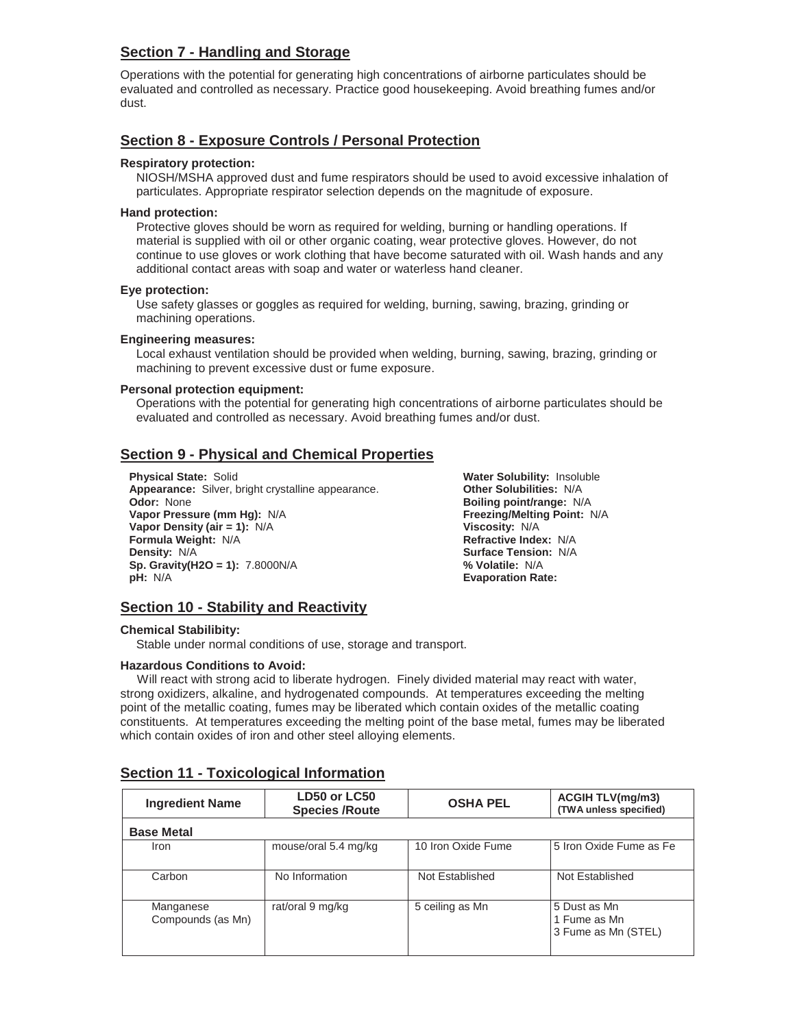# **Section 7 - Handling and Storage**

Operations with the potential for generating high concentrations of airborne particulates should be evaluated and controlled as necessary. Practice good housekeeping. Avoid breathing fumes and/or dust.

### **Section 8 - Exposure Controls / Personal Protection**

### **Respiratory protection:**

NIOSH/MSHA approved dust and fume respirators should be used to avoid excessive inhalation of particulates. Appropriate respirator selection depends on the magnitude of exposure.

### **Hand protection:**

Protective gloves should be worn as required for welding, burning or handling operations. If material is supplied with oil or other organic coating, wear protective gloves. However, do not continue to use gloves or work clothing that have become saturated with oil. Wash hands and any additional contact areas with soap and water or waterless hand cleaner.

### **Eye protection:**

Use safety glasses or goggles as required for welding, burning, sawing, brazing, grinding or machining operations.

### **Engineering measures:**

Local exhaust ventilation should be provided when welding, burning, sawing, brazing, grinding or machining to prevent excessive dust or fume exposure.

### **Personal protection equipment:**

Operations with the potential for generating high concentrations of airborne particulates should be evaluated and controlled as necessary. Avoid breathing fumes and/or dust.

# **Section 9 - Physical and Chemical Properties**

**Physical State:** Solid **Water Solubility:** Insoluble **Appearance:** Silver, bright crystalline appearance. **Other Solubilities:** N/A **Odor:** None **Boiling point/range:** N/A **Vapor Pressure (mm Hg):** N/A **Freezing/Melting Point:** N/A **Vapor Density (air = 1):** N/A **Viscosity:** N/A **Formula Weight:** N/A **Refractive Index:** N/A **Density:**  $N/A$  **Surface Tension:**  $N/A$ **Sp. Gravity(H2O = 1):** 7.8000N/A **% Volatile:** N/A **pH:** N/A **Evaporation Rate:** 

# **Section 10 - Stability and Reactivity**

### **Chemical Stabilibity:**

Stable under normal conditions of use, storage and transport.

### **Hazardous Conditions to Avoid:**

 Will react with strong acid to liberate hydrogen. Finely divided material may react with water, strong oxidizers, alkaline, and hydrogenated compounds. At temperatures exceeding the melting point of the metallic coating, fumes may be liberated which contain oxides of the metallic coating constituents. At temperatures exceeding the melting point of the base metal, fumes may be liberated which contain oxides of iron and other steel alloying elements.

| <b>Ingredient Name</b>         | LD50 or LC50<br><b>Species /Route</b> | <b>OSHA PEL</b>    | <b>ACGIH TLV(mg/m3)</b><br>(TWA unless specified)   |
|--------------------------------|---------------------------------------|--------------------|-----------------------------------------------------|
| <b>Base Metal</b>              |                                       |                    |                                                     |
| Iron                           | mouse/oral 5.4 mg/kg                  | 10 Iron Oxide Fume | l 5 Iron Oxide Fume as Fel                          |
| Carbon                         | No Information                        | Not Established    | Not Established                                     |
| Manganese<br>Compounds (as Mn) | rat/oral 9 mg/kg                      | 5 ceiling as Mn    | 5 Dust as Mn<br>1 Fume as Mn<br>3 Fume as Mn (STEL) |

### **Section 11 - Toxicological Information**